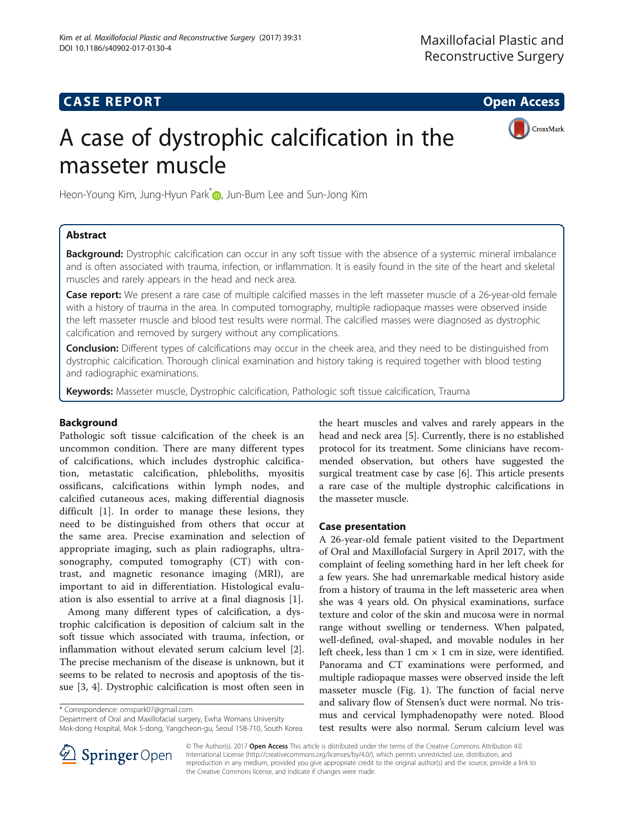## **CASE REPORT CASE REPORT CASE REPORT**

CrossMark

# A case of dystrophic calcification in the masseter muscle

Heon-Young Kim, Jung-Hyun Park<sup>[\\*](http://orcid.org/0000-0002-5297-5059)</sup> , Jun-Bum Lee and Sun-Jong Kim

## Abstract

Background: Dystrophic calcification can occur in any soft tissue with the absence of a systemic mineral imbalance and is often associated with trauma, infection, or inflammation. It is easily found in the site of the heart and skeletal muscles and rarely appears in the head and neck area.

Case report: We present a rare case of multiple calcified masses in the left masseter muscle of a 26-year-old female with a history of trauma in the area. In computed tomography, multiple radiopaque masses were observed inside the left masseter muscle and blood test results were normal. The calcified masses were diagnosed as dystrophic calcification and removed by surgery without any complications.

**Conclusion:** Different types of calcifications may occur in the cheek area, and they need to be distinguished from dystrophic calcification. Thorough clinical examination and history taking is required together with blood testing and radiographic examinations.

Keywords: Masseter muscle, Dystrophic calcification, Pathologic soft tissue calcification, Trauma

## Background

Pathologic soft tissue calcification of the cheek is an uncommon condition. There are many different types of calcifications, which includes dystrophic calcification, metastatic calcification, phleboliths, myositis ossificans, calcifications within lymph nodes, and calcified cutaneous aces, making differential diagnosis difficult [[1\]](#page-3-0). In order to manage these lesions, they need to be distinguished from others that occur at the same area. Precise examination and selection of appropriate imaging, such as plain radiographs, ultrasonography, computed tomography (CT) with contrast, and magnetic resonance imaging (MRI), are important to aid in differentiation. Histological evaluation is also essential to arrive at a final diagnosis [\[1](#page-3-0)].

Among many different types of calcification, a dystrophic calcification is deposition of calcium salt in the soft tissue which associated with trauma, infection, or inflammation without elevated serum calcium level [\[2](#page-3-0)]. The precise mechanism of the disease is unknown, but it seems to be related to necrosis and apoptosis of the tissue [[3, 4\]](#page-3-0). Dystrophic calcification is most often seen in

\* Correspondence: [omspark07@gmail.com](mailto:omspark07@gmail.com)

Department of Oral and Maxillofacial surgery, Ewha Womans University Mok-dong Hospital, Mok 5-dong, Yangcheon-gu, Seoul 158-710, South Korea the heart muscles and valves and rarely appears in the head and neck area [[5\]](#page-3-0). Currently, there is no established protocol for its treatment. Some clinicians have recommended observation, but others have suggested the surgical treatment case by case [[6](#page-3-0)]. This article presents a rare case of the multiple dystrophic calcifications in the masseter muscle.

## Case presentation

A 26-year-old female patient visited to the Department of Oral and Maxillofacial Surgery in April 2017, with the complaint of feeling something hard in her left cheek for a few years. She had unremarkable medical history aside from a history of trauma in the left masseteric area when she was 4 years old. On physical examinations, surface texture and color of the skin and mucosa were in normal range without swelling or tenderness. When palpated, well-defined, oval-shaped, and movable nodules in her left cheek, less than  $1 \text{ cm} \times 1 \text{ cm}$  in size, were identified. Panorama and CT examinations were performed, and multiple radiopaque masses were observed inside the left masseter muscle (Fig. [1\)](#page-1-0). The function of facial nerve and salivary flow of Stensen's duct were normal. No trismus and cervical lymphadenopathy were noted. Blood test results were also normal. Serum calcium level was



© The Author(s). 2017 Open Access This article is distributed under the terms of the Creative Commons Attribution 4.0 International License ([http://creativecommons.org/licenses/by/4.0/\)](http://creativecommons.org/licenses/by/4.0/), which permits unrestricted use, distribution, and reproduction in any medium, provided you give appropriate credit to the original author(s) and the source, provide a link to the Creative Commons license, and indicate if changes were made.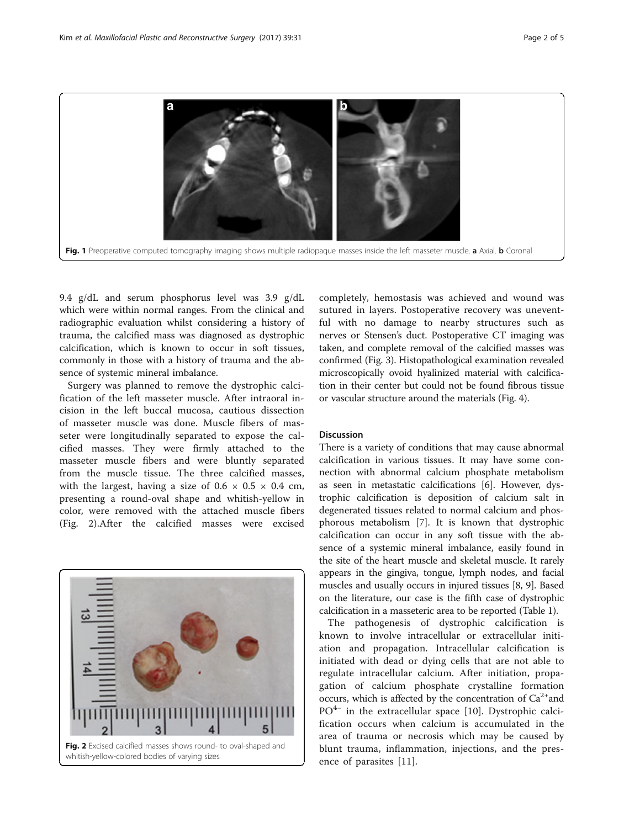<span id="page-1-0"></span>

9.4 g/dL and serum phosphorus level was 3.9 g/dL which were within normal ranges. From the clinical and radiographic evaluation whilst considering a history of trauma, the calcified mass was diagnosed as dystrophic calcification, which is known to occur in soft tissues, commonly in those with a history of trauma and the absence of systemic mineral imbalance.

Surgery was planned to remove the dystrophic calcification of the left masseter muscle. After intraoral incision in the left buccal mucosa, cautious dissection of masseter muscle was done. Muscle fibers of masseter were longitudinally separated to expose the calcified masses. They were firmly attached to the masseter muscle fibers and were bluntly separated from the muscle tissue. The three calcified masses, with the largest, having a size of  $0.6 \times 0.5 \times 0.4$  cm, presenting a round-oval shape and whitish-yellow in color, were removed with the attached muscle fibers (Fig. 2).After the calcified masses were excised



completely, hemostasis was achieved and wound was sutured in layers. Postoperative recovery was uneventful with no damage to nearby structures such as nerves or Stensen's duct. Postoperative CT imaging was taken, and complete removal of the calcified masses was confirmed (Fig. [3](#page-2-0)). Histopathological examination revealed microscopically ovoid hyalinized material with calcification in their center but could not be found fibrous tissue or vascular structure around the materials (Fig. [4](#page-2-0)).

#### Discussion

There is a variety of conditions that may cause abnormal calcification in various tissues. It may have some connection with abnormal calcium phosphate metabolism as seen in metastatic calcifications [[6\]](#page-3-0). However, dystrophic calcification is deposition of calcium salt in degenerated tissues related to normal calcium and phosphorous metabolism [\[7](#page-3-0)]. It is known that dystrophic calcification can occur in any soft tissue with the absence of a systemic mineral imbalance, easily found in the site of the heart muscle and skeletal muscle. It rarely appears in the gingiva, tongue, lymph nodes, and facial muscles and usually occurs in injured tissues [\[8, 9\]](#page-3-0). Based on the literature, our case is the fifth case of dystrophic calcification in a masseteric area to be reported (Table [1\)](#page-3-0).

The pathogenesis of dystrophic calcification is known to involve intracellular or extracellular initiation and propagation. Intracellular calcification is initiated with dead or dying cells that are not able to regulate intracellular calcium. After initiation, propagation of calcium phosphate crystalline formation occurs, which is affected by the concentration of  $Ca^{2+}$  and PO<sup>4−</sup> in the extracellular space [\[10](#page-3-0)]. Dystrophic calcification occurs when calcium is accumulated in the area of trauma or necrosis which may be caused by blunt trauma, inflammation, injections, and the presence of parasites [\[11](#page-3-0)].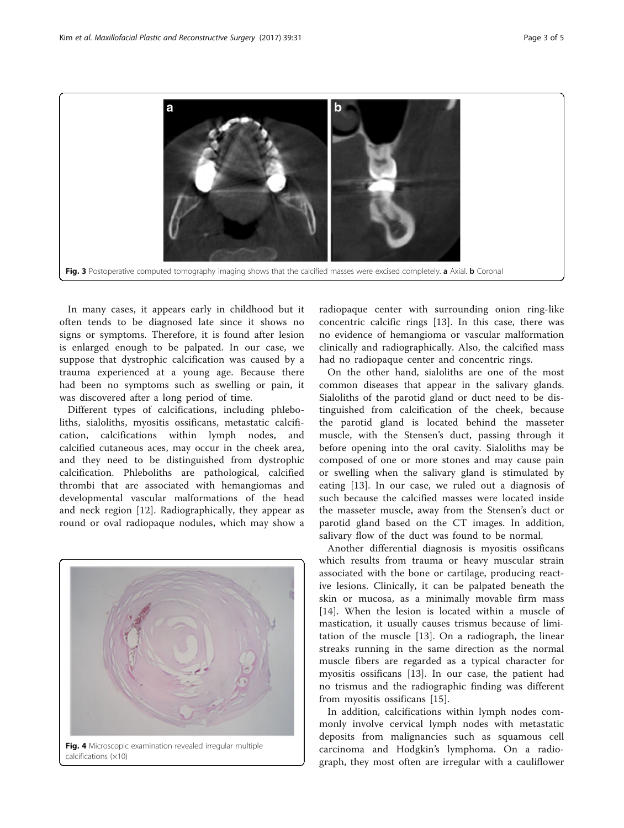<span id="page-2-0"></span>

In many cases, it appears early in childhood but it often tends to be diagnosed late since it shows no signs or symptoms. Therefore, it is found after lesion is enlarged enough to be palpated. In our case, we suppose that dystrophic calcification was caused by a trauma experienced at a young age. Because there had been no symptoms such as swelling or pain, it was discovered after a long period of time.

Different types of calcifications, including phleboliths, sialoliths, myositis ossificans, metastatic calcification, calcifications within lymph nodes, and calcified cutaneous aces, may occur in the cheek area, and they need to be distinguished from dystrophic calcification. Phleboliths are pathological, calcified thrombi that are associated with hemangiomas and developmental vascular malformations of the head and neck region [[12\]](#page-4-0). Radiographically, they appear as round or oval radiopaque nodules, which may show a



calcifications (×10)

radiopaque center with surrounding onion ring-like concentric calcific rings [[13\]](#page-4-0). In this case, there was no evidence of hemangioma or vascular malformation clinically and radiographically. Also, the calcified mass had no radiopaque center and concentric rings.

On the other hand, sialoliths are one of the most common diseases that appear in the salivary glands. Sialoliths of the parotid gland or duct need to be distinguished from calcification of the cheek, because the parotid gland is located behind the masseter muscle, with the Stensen's duct, passing through it before opening into the oral cavity. Sialoliths may be composed of one or more stones and may cause pain or swelling when the salivary gland is stimulated by eating [[13](#page-4-0)]. In our case, we ruled out a diagnosis of such because the calcified masses were located inside the masseter muscle, away from the Stensen's duct or parotid gland based on the CT images. In addition, salivary flow of the duct was found to be normal.

Another differential diagnosis is myositis ossificans which results from trauma or heavy muscular strain associated with the bone or cartilage, producing reactive lesions. Clinically, it can be palpated beneath the skin or mucosa, as a minimally movable firm mass [[14\]](#page-4-0). When the lesion is located within a muscle of mastication, it usually causes trismus because of limitation of the muscle [[13\]](#page-4-0). On a radiograph, the linear streaks running in the same direction as the normal muscle fibers are regarded as a typical character for myositis ossificans [[13](#page-4-0)]. In our case, the patient had no trismus and the radiographic finding was different from myositis ossificans [[15\]](#page-4-0).

In addition, calcifications within lymph nodes commonly involve cervical lymph nodes with metastatic deposits from malignancies such as squamous cell carcinoma and Hodgkin's lymphoma. On a radiograph, they most often are irregular with a cauliflower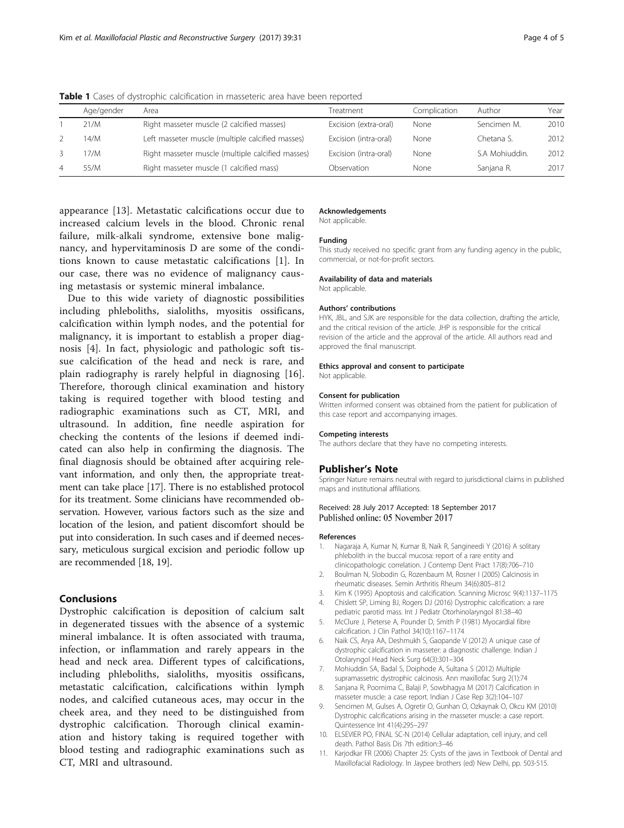|   | Age/gender | Area                                              | Treatment             | Complication | Author         | Year |
|---|------------|---------------------------------------------------|-----------------------|--------------|----------------|------|
|   | 21/M       | Right masseter muscle (2 calcified masses)        | Excision (extra-oral) | None         | Sencimen M.    | 201C |
|   | 14/M       | Left masseter muscle (multiple calcified masses)  | Excision (intra-oral) | None         | Chetana S.     | 2012 |
|   | 17/M       | Right masseter muscle (multiple calcified masses) | Excision (intra-oral) | None         | S.A Mohiuddin. | 2012 |
| 4 | 55/M       | Right masseter muscle (1 calcified mass)          | Observation           | None         | Sanjana R.     | 2017 |

<span id="page-3-0"></span>**Table 1** Cases of dystrophic calcification in masseteric area have been reported

appearance [[13\]](#page-4-0). Metastatic calcifications occur due to increased calcium levels in the blood. Chronic renal failure, milk-alkali syndrome, extensive bone malignancy, and hypervitaminosis D are some of the conditions known to cause metastatic calcifications [1]. In our case, there was no evidence of malignancy causing metastasis or systemic mineral imbalance.

Due to this wide variety of diagnostic possibilities including phleboliths, sialoliths, myositis ossificans, calcification within lymph nodes, and the potential for malignancy, it is important to establish a proper diagnosis [4]. In fact, physiologic and pathologic soft tissue calcification of the head and neck is rare, and plain radiography is rarely helpful in diagnosing [\[16](#page-4-0)]. Therefore, thorough clinical examination and history taking is required together with blood testing and radiographic examinations such as CT, MRI, and ultrasound. In addition, fine needle aspiration for checking the contents of the lesions if deemed indicated can also help in confirming the diagnosis. The final diagnosis should be obtained after acquiring relevant information, and only then, the appropriate treatment can take place [\[17\]](#page-4-0). There is no established protocol for its treatment. Some clinicians have recommended observation. However, various factors such as the size and location of the lesion, and patient discomfort should be put into consideration. In such cases and if deemed necessary, meticulous surgical excision and periodic follow up are recommended [\[18, 19\]](#page-4-0).

### Conclusions

Dystrophic calcification is deposition of calcium salt in degenerated tissues with the absence of a systemic mineral imbalance. It is often associated with trauma, infection, or inflammation and rarely appears in the head and neck area. Different types of calcifications, including phleboliths, sialoliths, myositis ossificans, metastatic calcification, calcifications within lymph nodes, and calcified cutaneous aces, may occur in the cheek area, and they need to be distinguished from dystrophic calcification. Thorough clinical examination and history taking is required together with blood testing and radiographic examinations such as CT, MRI and ultrasound.

#### Acknowledgements

Not applicable.

#### Funding

This study received no specific grant from any funding agency in the public, commercial, or not-for-profit sectors.

#### Availability of data and materials

Not applicable.

#### Authors' contributions

HYK, JBL, and SJK are responsible for the data collection, drafting the article, and the critical revision of the article. JHP is responsible for the critical revision of the article and the approval of the article. All authors read and approved the final manuscript.

#### Ethics approval and consent to participate

Not applicable.

#### Consent for publication

Written informed consent was obtained from the patient for publication of this case report and accompanying images.

#### Competing interests

The authors declare that they have no competing interests.

#### Publisher's Note

Springer Nature remains neutral with regard to jurisdictional claims in published maps and institutional affiliations.

#### Received: 28 July 2017 Accepted: 18 September 2017 Published online: 05 November 2017

#### References

- 1. Nagaraja A, Kumar N, Kumar B, Naik R, Sangineedi Y (2016) A solitary phlebolith in the buccal mucosa: report of a rare entity and clinicopathologic correlation. J Contemp Dent Pract 17(8):706–710
- 2. Boulman N, Slobodin G, Rozenbaum M, Rosner I (2005) Calcinosis in rheumatic diseases. Semin Arthritis Rheum 34(6):805–812
- 3. Kim K (1995) Apoptosis and calcification. Scanning Microsc 9(4):1137–1175
- 4. Chislett SP, Liming BJ, Rogers DJ (2016) Dystrophic calcification: a rare pediatric parotid mass. Int J Pediatr Otorhinolaryngol 81:38–40
- 5. McClure J, Pieterse A, Pounder D, Smith P (1981) Myocardial fibre calcification. J Clin Pathol 34(10):1167–1174
- 6. Naik CS, Arya AA, Deshmukh S, Gaopande V (2012) A unique case of dystrophic calcification in masseter: a diagnostic challenge. Indian J Otolaryngol Head Neck Surg 64(3):301–304
- 7. Mohiuddin SA, Badal S, Doiphode A, Sultana S (2012) Multiple supramassetric dystrophic calcinosis. Ann maxillofac Surg 2(1):74
- 8. Sanjana R, Poornima C, Balaji P, Sowbhagya M (2017) Calcification in masseter muscle: a case report. Indian J Case Rep 3(2):104–107
- 9. Sencimen M, Gulses A, Ogretir O, Gunhan O, Ozkaynak O, Okcu KM (2010) Dystrophic calcifications arising in the masseter muscle: a case report. Quintessence Int 41(4):295–297
- 10. ELSEVIER PO, FINAL SC-N (2014) Cellular adaptation, cell injury, and cell death. Pathol Basis Dis 7th edition:3–46
- 11. Karjodkar FR (2006) Chapter 25: Cysts of the jaws in Textbook of Dental and Maxillofacial Radiology. In Jaypee brothers (ed) New Delhi, pp. 503-515.